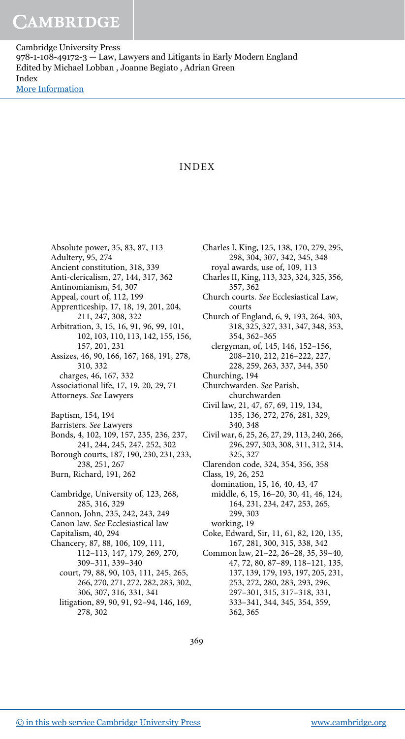## INDEX

Absolute power, 35, 83, 87, 113 Adultery, 95, 274 Ancient constitution, 318, 339 Anti-clericalism, 27, 144, 317, 362 Antinomianism, 54, 307 Appeal, court of, 112, 199 Apprenticeship, 17, 18, 19, 201, 204, 211, 247, 308, 322 Arbitration, 3, 15, 16, 91, 96, 99, 101, 102, 103, 110, 113, 142, 155, 156, 157, 201, 231 Assizes, 46, 90, 166, 167, 168, 191, 278, 310, 332 charges, 46, 167, 332 Associational life, 17, 19, 20, 29, 71 Attorneys. See Lawyers Baptism, 154, 194 Barristers. See Lawyers Bonds, 4, 102, 109, 157, 235, 236, 237, 241, 244, 245, 247, 252, 302 Borough courts, 187, 190, 230, 231, 233, 238, 251, 267 Burn, Richard, 191, 262 Cambridge, University of, 123, 268, 285, 316, 329 Cannon, John, 235, 242, 243, 249 Canon law. See Ecclesiastical law Capitalism, 40, 294 Chancery, 87, 88, 106, 109, 111, 112–113, 147, 179, 269, 270, 309–311, 339–340 court, 79, 88, 90, 103, 111, 245, 265, 266, 270, 271, 272, 282, 283, 302, 306, 307, 316, 331, 341

litigation, 89, 90, 91, 92–94, 146, 169, 278, 302

Charles I, King, 125, 138, 170, 279, 295, 298, 304, 307, 342, 345, 348 royal awards, use of, 109, 113 Charles II, King, 113, 323, 324, 325, 356, 357, 362 Church courts. See Ecclesiastical Law, courts Church of England, 6, 9, 193, 264, 303, 318, 325, 327, 331, 347, 348, 353, 354, 362–365 clergyman, of, 145, 146, 152–156, 208–210, 212, 216–222, 227, 228, 259, 263, 337, 344, 350 Churching, 194 Churchwarden. See Parish, churchwarden Civil law, 21, 47, 67, 69, 119, 134, 135, 136, 272, 276, 281, 329, 340, 348 Civil war, 6, 25, 26, 27, 29, 113, 240, 266, 296, 297, 303, 308, 311, 312, 314, 325, 327 Clarendon code, 324, 354, 356, 358 Class, 19, 26, 252 domination, 15, 16, 40, 43, 47 middle, 6, 15, 16–20, 30, 41, 46, 124, 164, 231, 234, 247, 253, 265, 299, 303 working, 19 Coke, Edward, Sir, 11, 61, 82, 120, 135, 167, 281, 300, 315, 338, 342 Common law, 21–22, 26–28, 35, 39–40, 47, 72, 80, 87–89, 118–121, 135, 137, 139, 179, 193, 197, 205, 231, 253, 272, 280, 283, 293, 296, 297–301, 315, 317–318, 331, 333–341, 344, 345, 354, 359,

369

362, 365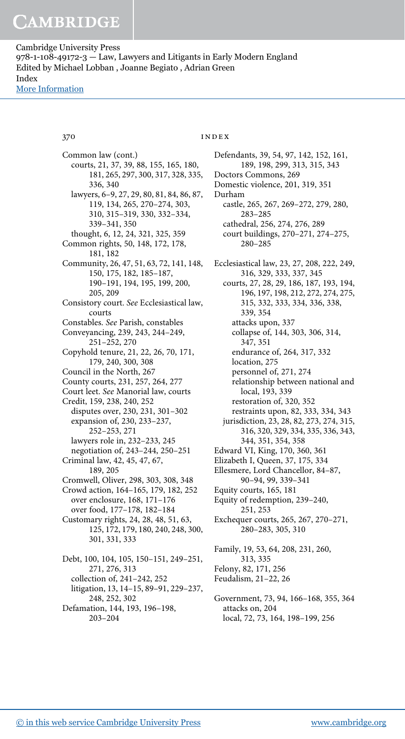Common law (cont.) courts, 21, 37, 39, 88, 155, 165, 180, 181, 265, 297, 300, 317, 328, 335, 336, 340 lawyers, 6–9, 27, 29, 80, 81, 84, 86, 87, 119, 134, 265, 270–274, 303, 310, 315–319, 330, 332–334, 339–341, 350 thought, 6, 12, 24, 321, 325, 359 Common rights, 50, 148, 172, 178, 181, 182 Community, 26, 47, 51, 63, 72, 141, 148, 150, 175, 182, 185–187, 190–191, 194, 195, 199, 200, 205, 209 Consistory court. See Ecclesiastical law, courts Constables. See Parish, constables Conveyancing, 239, 243, 244–249, 251–252, 270 Copyhold tenure, 21, 22, 26, 70, 171, 179, 240, 300, 308 Council in the North, 267 County courts, 231, 257, 264, 277 Court leet. See Manorial law, courts Credit, 159, 238, 240, 252 disputes over, 230, 231, 301–302 expansion of, 230, 233–237, 252–253, 271 lawyers role in, 232–233, 245 negotiation of, 243–244, 250–251 Criminal law, 42, 45, 47, 67, 189, 205 Cromwell, Oliver, 298, 303, 308, 348 Crowd action, 164–165, 179, 182, 252 over enclosure, 168, 171–176 over food, 177–178, 182–184 Customary rights, 24, 28, 48, 51, 63, 125, 172, 179, 180, 240, 248, 300, 301, 331, 333 Debt, 100, 104, 105, 150–151, 249–251, 271, 276, 313 collection of, 241–242, 252 litigation, 13, 14–15, 89–91, 229–237, 248, 252, 302 Defamation, 144, 193, 196–198, 203–204

### 370 **index**

Defendants, 39, 54, 97, 142, 152, 161, 189, 198, 299, 313, 315, 343 Doctors Commons, 269 Domestic violence, 201, 319, 351 Durham castle, 265, 267, 269–272, 279, 280, 283–285 cathedral, 256, 274, 276, 289 court buildings, 270–271, 274–275, 280–285 Ecclesiastical law, 23, 27, 208, 222, 249, 316, 329, 333, 337, 345 courts, 27, 28, 29, 186, 187, 193, 194, 196, 197, 198, 212, 272, 274, 275, 315, 332, 333, 334, 336, 338, 339, 354 attacks upon, 337 collapse of, 144, 303, 306, 314, 347, 351 endurance of, 264, 317, 332 location, 275 personnel of, 271, 274 relationship between national and local, 193, 339 restoration of, 320, 352 restraints upon, 82, 333, 334, 343 jurisdiction, 23, 28, 82, 273, 274, 315, 316, 320, 329, 334, 335, 336, 343, 344, 351, 354, 358 Edward VI, King, 170, 360, 361 Elizabeth I, Queen, 37, 175, 334 Ellesmere, Lord Chancellor, 84–87, 90–94, 99, 339–341 Equity courts, 165, 181 Equity of redemption, 239–240, 251, 253 Exchequer courts, 265, 267, 270–271, 280–283, 305, 310 Family, 19, 53, 64, 208, 231, 260, 313, 335 Felony, 82, 171, 256 Feudalism, 21–22, 26 Government, 73, 94, 166–168, 355, 364 attacks on, 204 local, 72, 73, 164, 198–199, 256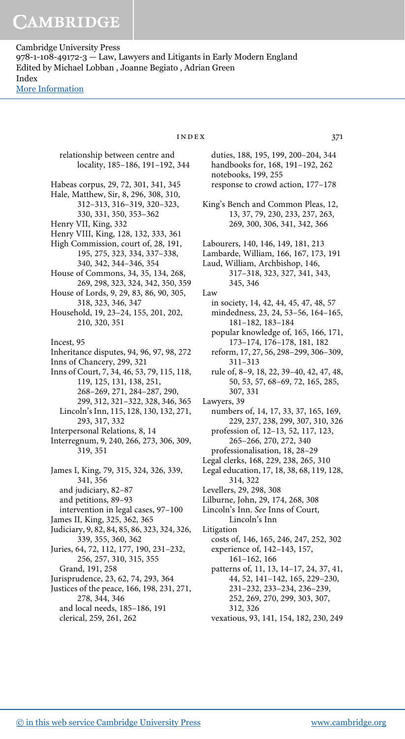> relationship between centre and locality, 185–186, 191–192, 344 Habeas corpus, 29, 72, 301, 341, 345 Hale, Matthew, Sir, 8, 296, 308, 310, 312–313, 316–319, 320–323, 330, 331, 350, 353–362 Henry VII, King, 332 Henry VIII, King, 128, 132, 333, 361 High Commission, court of, 28, 191, 195, 275, 323, 334, 337–338, 340, 342, 344–346, 354 House of Commons, 34, 35, 134, 268, 269, 298, 323, 324, 342, 350, 359 House of Lords, 9, 29, 83, 86, 90, 305, 318, 323, 346, 347 Household, 19, 23–24, 155, 201, 202, 210, 320, 351 Incest, 95 Inheritance disputes, 94, 96, 97, 98, 272 Inns of Chancery, 299, 321 Inns of Court, 7, 34, 46, 53, 79, 115, 118, 119, 125, 131, 138, 251, 268–269, 271, 284–287, 290, 299, 312, 321–322, 328, 346, 365 Lincoln's Inn, 115, 128, 130, 132, 271, 293, 317, 332 Interpersonal Relations, 8, 14 Interregnum, 9, 240, 266, 273, 306, 309, 319, 351 James I, King, 79, 315, 324, 326, 339, 341, 356 and judiciary, 82–87 and petitions, 89–93 intervention in legal cases, 97–100 James II, King, 325, 362, 365 Judiciary, 9, 82, 84, 85, 86, 323, 324, 326, 339, 355, 360, 362 Juries, 64, 72, 112, 177, 190, 231–232, 256, 257, 310, 315, 355 Grand, 191, 258 Jurisprudence, 23, 62, 74, 293, 364 Justices of the peace, 166, 198, 231, 271, 278, 344, 346 and local needs, 185–186, 191

clerical, 259, 261, 262

### $INDEX$  371

- duties, 188, 195, 199, 200–204, 344 handbooks for, 168, 191–192, 262 notebooks, 199, 255 response to crowd action, 177–178
- King's Bench and Common Pleas, 12, 13, 37, 79, 230, 233, 237, 263, 269, 300, 306, 341, 342, 366
- Labourers, 140, 146, 149, 181, 213
- Lambarde, William, 166, 167, 173, 191
- Laud, William, Archbishop, 146,
	- 317–318, 323, 327, 341, 343, 345, 346
- Law
- in society, 14, 42, 44, 45, 47, 48, 57 mindedness, 23, 24, 53–56, 164–165, 181–182, 183–184
	- popular knowledge of, 165, 166, 171, 173–174, 176–178, 181, 182
	- reform, 17, 27, 56, 298–299, 306–309, 311–313
	- rule of, 8–9, 18, 22, 39–40, 42, 47, 48, 50, 53, 57, 68–69, 72, 165, 285, 307, 331
- Lawyers, 39
- numbers of, 14, 17, 33, 37, 165, 169, 229, 237, 238, 299, 307, 310, 326

profession of, 12–13, 52, 117, 123, 265–266, 270, 272, 340 professionalisation, 18, 28–29

- Legal clerks, 168, 229, 238, 265, 310
- Legal education, 17, 18, 38, 68, 119, 128, 314, 322
- Levellers, 29, 298, 308
- Lilburne, John, 29, 174, 268, 308 Lincoln's Inn. See Inns of Court,
- Lincoln's Inn Litigation
- costs of, 146, 165, 246, 247, 252, 302 experience of, 142–143, 157,
	- 161–162, 166
	- patterns of, 11, 13, 14–17, 24, 37, 41, 44, 52, 141–142, 165, 229–230, 231–232, 233–234, 236–239, 252, 269, 270, 299, 303, 307, 312, 326
	- vexatious, 93, 141, 154, 182, 230, 249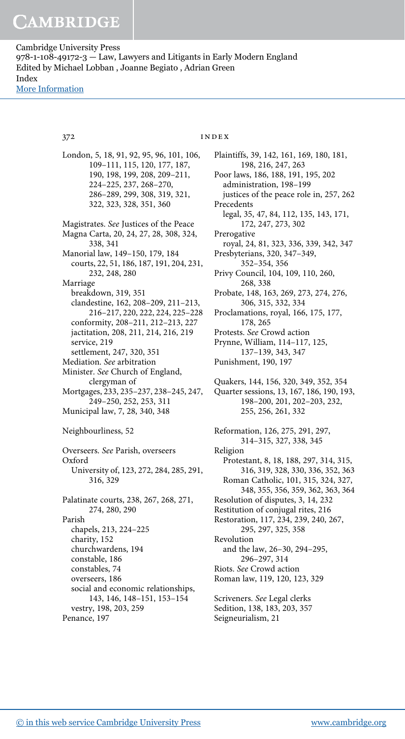London, 5, 18, 91, 92, 95, 96, 101, 106, 109–111, 115, 120, 177, 187, 190, 198, 199, 208, 209–211, 224–225, 237, 268–270, 286–289, 299, 308, 319, 321, 322, 323, 328, 351, 360 Magistrates. See Justices of the Peace Magna Carta, 20, 24, 27, 28, 308, 324, 338, 341 Manorial law, 149–150, 179, 184 courts, 22, 51, 186, 187, 191, 204, 231, 232, 248, 280 Marriage breakdown, 319, 351 clandestine, 162, 208–209, 211–213, 216–217, 220, 222, 224, 225–228 conformity, 208–211, 212–213, 227 jactitation, 208, 211, 214, 216, 219 service, 219 settlement, 247, 320, 351 Mediation. See arbitration Minister. See Church of England, clergyman of Mortgages, 233, 235–237, 238–245, 247, 249–250, 252, 253, 311 Municipal law, 7, 28, 340, 348 Neighbourliness, 52 Overseers. See Parish, overseers Oxford University of, 123, 272, 284, 285, 291, 316, 329 Palatinate courts, 238, 267, 268, 271, 274, 280, 290 Parish chapels, 213, 224–225 charity, 152 churchwardens, 194 constable, 186 constables, 74 overseers, 186 social and economic relationships, 143, 146, 148–151, 153–154 vestry, 198, 203, 259 Penance, 197

### 372 **index**

Plaintiffs, 39, 142, 161, 169, 180, 181, 198, 216, 247, 263 Poor laws, 186, 188, 191, 195, 202 administration, 198–199 justices of the peace role in, 257, 262 Precedents legal, 35, 47, 84, 112, 135, 143, 171, 172, 247, 273, 302 Prerogative royal, 24, 81, 323, 336, 339, 342, 347 Presbyterians, 320, 347–349, 352–354, 356 Privy Council, 104, 109, 110, 260, 268, 338 Probate, 148, 163, 269, 273, 274, 276, 306, 315, 332, 334 Proclamations, royal, 166, 175, 177, 178, 265 Protests. See Crowd action Prynne, William, 114–117, 125, 137–139, 343, 347 Punishment, 190, 197 Quakers, 144, 156, 320, 349, 352, 354 Quarter sessions, 13, 167, 186, 190, 193, 198–200, 201, 202–203, 232, 255, 256, 261, 332 Reformation, 126, 275, 291, 297, 314–315, 327, 338, 345 Religion Protestant, 8, 18, 188, 297, 314, 315, 316, 319, 328, 330, 336, 352, 363 Roman Catholic, 101, 315, 324, 327, 348, 355, 356, 359, 362, 363, 364 Resolution of disputes, 3, 14, 232 Restitution of conjugal rites, 216 Restoration, 117, 234, 239, 240, 267, 295, 297, 325, 358 Revolution and the law, 26–30, 294–295, 296–297, 314 Riots. See Crowd action Roman law, 119, 120, 123, 329 Scriveners. See Legal clerks Sedition, 138, 183, 203, 357 Seigneurialism, 21